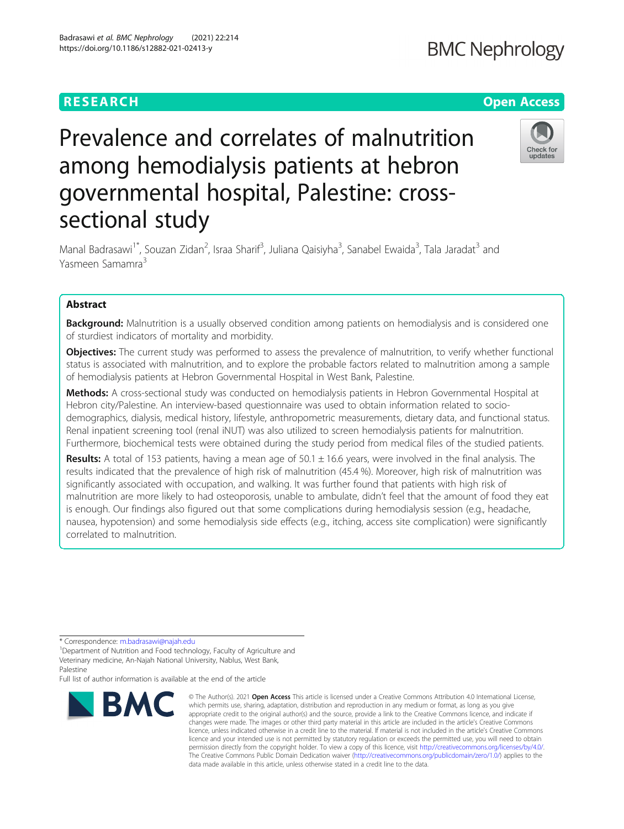# **RESEARCH CHEAR CHEAR CHEAR CHEAR CHEAR CHEAP CONTROL**

# Prevalence and correlates of malnutrition among hemodialysis patients at hebron governmental hospital, Palestine: crosssectional study

Manal Badrasawi<sup>1\*</sup>, Souzan Zidan<sup>2</sup>, Israa Sharif<sup>3</sup>, Juliana Qaisiyha<sup>3</sup>, Sanabel Ewaida<sup>3</sup>, Tala Jaradat<sup>3</sup> and Yasmeen Samamra<sup>3</sup>

# Abstract

**Background:** Malnutrition is a usually observed condition among patients on hemodialysis and is considered one of sturdiest indicators of mortality and morbidity.

Objectives: The current study was performed to assess the prevalence of malnutrition, to verify whether functional status is associated with malnutrition, and to explore the probable factors related to malnutrition among a sample of hemodialysis patients at Hebron Governmental Hospital in West Bank, Palestine.

Methods: A cross-sectional study was conducted on hemodialysis patients in Hebron Governmental Hospital at Hebron city/Palestine. An interview-based questionnaire was used to obtain information related to sociodemographics, dialysis, medical history, lifestyle, anthropometric measurements, dietary data, and functional status. Renal inpatient screening tool (renal iNUT) was also utilized to screen hemodialysis patients for malnutrition. Furthermore, biochemical tests were obtained during the study period from medical files of the studied patients.

**Results:** A total of 153 patients, having a mean age of  $50.1 \pm 16.6$  years, were involved in the final analysis. The results indicated that the prevalence of high risk of malnutrition (45.4 %). Moreover, high risk of malnutrition was significantly associated with occupation, and walking. It was further found that patients with high risk of malnutrition are more likely to had osteoporosis, unable to ambulate, didn't feel that the amount of food they eat is enough. Our findings also figured out that some complications during hemodialysis session (e.g., headache, nausea, hypotension) and some hemodialysis side effects (e.g., itching, access site complication) were significantly correlated to malnutrition.

\* Correspondence: [m.badrasawi@najah.edu](mailto:m.badrasawi@najah.edu) <sup>1</sup>

**BMC** 

<sup>1</sup>Department of Nutrition and Food technology, Faculty of Agriculture and Veterinary medicine, An-Najah National University, Nablus, West Bank, Palestine

Full list of author information is available at the end of the article



# Check for undates

© The Author(s), 2021 **Open Access** This article is licensed under a Creative Commons Attribution 4.0 International License, which permits use, sharing, adaptation, distribution and reproduction in any medium or format, as long as you give appropriate credit to the original author(s) and the source, provide a link to the Creative Commons licence, and indicate if changes were made. The images or other third party material in this article are included in the article's Creative Commons licence, unless indicated otherwise in a credit line to the material. If material is not included in the article's Creative Commons licence and your intended use is not permitted by statutory regulation or exceeds the permitted use, you will need to obtain permission directly from the copyright holder. To view a copy of this licence, visit [http://creativecommons.org/licenses/by/4.0/.](http://creativecommons.org/licenses/by/4.0/) The Creative Commons Public Domain Dedication waiver [\(http://creativecommons.org/publicdomain/zero/1.0/](http://creativecommons.org/publicdomain/zero/1.0/)) applies to the data made available in this article, unless otherwise stated in a credit line to the data.



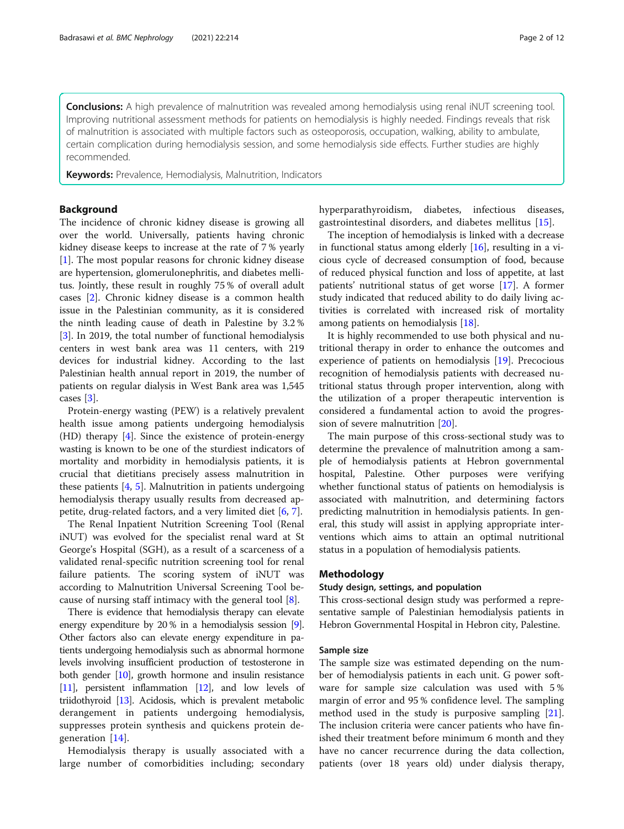Conclusions: A high prevalence of malnutrition was revealed among hemodialysis using renal iNUT screening tool. Improving nutritional assessment methods for patients on hemodialysis is highly needed. Findings reveals that risk of malnutrition is associated with multiple factors such as osteoporosis, occupation, walking, ability to ambulate, certain complication during hemodialysis session, and some hemodialysis side effects. Further studies are highly recommended.

Keywords: Prevalence, Hemodialysis, Malnutrition, Indicators

# Background

The incidence of chronic kidney disease is growing all over the world. Universally, patients having chronic kidney disease keeps to increase at the rate of 7 % yearly [[1\]](#page-10-0). The most popular reasons for chronic kidney disease are hypertension, glomerulonephritis, and diabetes mellitus. Jointly, these result in roughly 75 % of overall adult cases [\[2](#page-10-0)]. Chronic kidney disease is a common health issue in the Palestinian community, as it is considered the ninth leading cause of death in Palestine by 3.2 % [[3\]](#page-10-0). In 2019, the total number of functional hemodialysis centers in west bank area was 11 centers, with 219 devices for industrial kidney. According to the last Palestinian health annual report in 2019, the number of patients on regular dialysis in West Bank area was 1,545 cases [[3](#page-10-0)].

Protein-energy wasting (PEW) is a relatively prevalent health issue among patients undergoing hemodialysis (HD) therapy [[4\]](#page-10-0). Since the existence of protein-energy wasting is known to be one of the sturdiest indicators of mortality and morbidity in hemodialysis patients, it is crucial that dietitians precisely assess malnutrition in these patients [\[4,](#page-10-0) [5](#page-10-0)]. Malnutrition in patients undergoing hemodialysis therapy usually results from decreased appetite, drug-related factors, and a very limited diet [[6,](#page-10-0) [7\]](#page-10-0).

The Renal Inpatient Nutrition Screening Tool (Renal iNUT) was evolved for the specialist renal ward at St George's Hospital (SGH), as a result of a scarceness of a validated renal-specific nutrition screening tool for renal failure patients. The scoring system of iNUT was according to Malnutrition Universal Screening Tool because of nursing staff intimacy with the general tool [[8\]](#page-10-0).

There is evidence that hemodialysis therapy can elevate energy expenditure by 20% in a hemodialysis session [[9](#page-11-0)]. Other factors also can elevate energy expenditure in patients undergoing hemodialysis such as abnormal hormone levels involving insufficient production of testosterone in both gender [[10](#page-11-0)], growth hormone and insulin resistance  $[11]$  $[11]$  $[11]$ , persistent inflammation  $[12]$ , and low levels of triidothyroid [[13](#page-11-0)]. Acidosis, which is prevalent metabolic derangement in patients undergoing hemodialysis, suppresses protein synthesis and quickens protein degeneration [[14](#page-11-0)].

Hemodialysis therapy is usually associated with a large number of comorbidities including; secondary hyperparathyroidism, diabetes, infectious diseases, gastrointestinal disorders, and diabetes mellitus [[15](#page-11-0)].

The inception of hemodialysis is linked with a decrease in functional status among elderly [[16\]](#page-11-0), resulting in a vicious cycle of decreased consumption of food, because of reduced physical function and loss of appetite, at last patients' nutritional status of get worse [[17](#page-11-0)]. A former study indicated that reduced ability to do daily living activities is correlated with increased risk of mortality among patients on hemodialysis [\[18](#page-11-0)].

It is highly recommended to use both physical and nutritional therapy in order to enhance the outcomes and experience of patients on hemodialysis [\[19\]](#page-11-0). Precocious recognition of hemodialysis patients with decreased nutritional status through proper intervention, along with the utilization of a proper therapeutic intervention is considered a fundamental action to avoid the progression of severe malnutrition [\[20](#page-11-0)].

The main purpose of this cross-sectional study was to determine the prevalence of malnutrition among a sample of hemodialysis patients at Hebron governmental hospital, Palestine. Other purposes were verifying whether functional status of patients on hemodialysis is associated with malnutrition, and determining factors predicting malnutrition in hemodialysis patients. In general, this study will assist in applying appropriate interventions which aims to attain an optimal nutritional status in a population of hemodialysis patients.

# Methodology

# Study design, settings, and population

This cross-sectional design study was performed a representative sample of Palestinian hemodialysis patients in Hebron Governmental Hospital in Hebron city, Palestine.

# Sample size

The sample size was estimated depending on the number of hemodialysis patients in each unit. G power software for sample size calculation was used with 5 % margin of error and 95 % confidence level. The sampling method used in the study is purposive sampling [\[21](#page-11-0)]. The inclusion criteria were cancer patients who have finished their treatment before minimum 6 month and they have no cancer recurrence during the data collection, patients (over 18 years old) under dialysis therapy,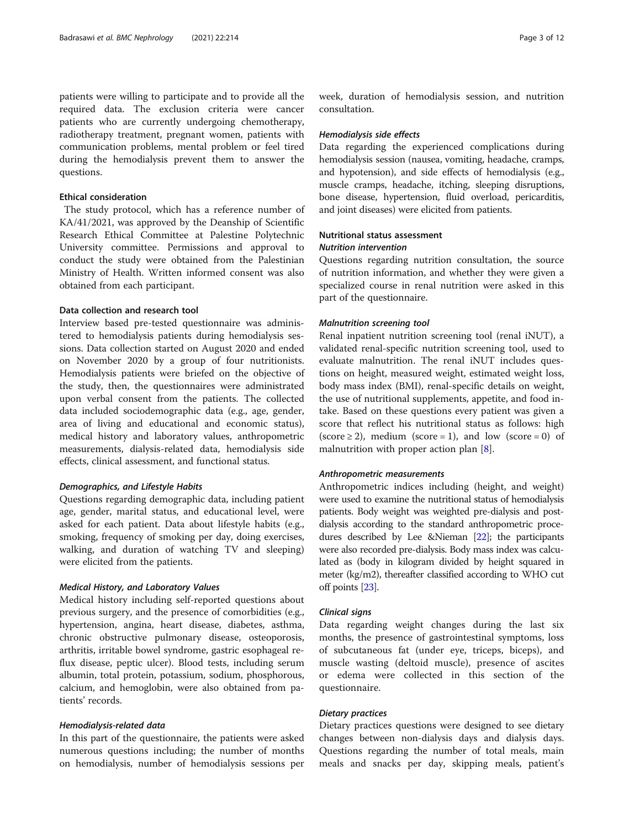patients were willing to participate and to provide all the required data. The exclusion criteria were cancer patients who are currently undergoing chemotherapy, radiotherapy treatment, pregnant women, patients with communication problems, mental problem or feel tired during the hemodialysis prevent them to answer the questions.

#### Ethical consideration

The study protocol, which has a reference number of KA/41/2021, was approved by the Deanship of Scientific Research Ethical Committee at Palestine Polytechnic University committee. Permissions and approval to conduct the study were obtained from the Palestinian Ministry of Health. Written informed consent was also obtained from each participant.

# Data collection and research tool

Interview based pre-tested questionnaire was administered to hemodialysis patients during hemodialysis sessions. Data collection started on August 2020 and ended on November 2020 by a group of four nutritionists. Hemodialysis patients were briefed on the objective of the study, then, the questionnaires were administrated upon verbal consent from the patients. The collected data included sociodemographic data (e.g., age, gender, area of living and educational and economic status), medical history and laboratory values, anthropometric measurements, dialysis-related data, hemodialysis side effects, clinical assessment, and functional status.

# Demographics, and Lifestyle Habits

Questions regarding demographic data, including patient age, gender, marital status, and educational level, were asked for each patient. Data about lifestyle habits (e.g., smoking, frequency of smoking per day, doing exercises, walking, and duration of watching TV and sleeping) were elicited from the patients.

# Medical History, and Laboratory Values

Medical history including self-reported questions about previous surgery, and the presence of comorbidities (e.g., hypertension, angina, heart disease, diabetes, asthma, chronic obstructive pulmonary disease, osteoporosis, arthritis, irritable bowel syndrome, gastric esophageal reflux disease, peptic ulcer). Blood tests, including serum albumin, total protein, potassium, sodium, phosphorous, calcium, and hemoglobin, were also obtained from patients' records.

# Hemodialysis-related data

In this part of the questionnaire, the patients were asked numerous questions including; the number of months on hemodialysis, number of hemodialysis sessions per

week, duration of hemodialysis session, and nutrition consultation.

#### Hemodialysis side effects

Data regarding the experienced complications during hemodialysis session (nausea, vomiting, headache, cramps, and hypotension), and side effects of hemodialysis (e.g., muscle cramps, headache, itching, sleeping disruptions, bone disease, hypertension, fluid overload, pericarditis, and joint diseases) were elicited from patients.

# Nutritional status assessment

# Nutrition intervention

Questions regarding nutrition consultation, the source of nutrition information, and whether they were given a specialized course in renal nutrition were asked in this part of the questionnaire.

#### Malnutrition screening tool

Renal inpatient nutrition screening tool (renal iNUT), a validated renal-specific nutrition screening tool, used to evaluate malnutrition. The renal iNUT includes questions on height, measured weight, estimated weight loss, body mass index (BMI), renal-specific details on weight, the use of nutritional supplements, appetite, and food intake. Based on these questions every patient was given a score that reflect his nutritional status as follows: high  $(score \geq 2)$ , medium  $(score = 1)$ , and low  $(score = 0)$  of malnutrition with proper action plan [[8\]](#page-10-0).

# Anthropometric measurements

Anthropometric indices including (height, and weight) were used to examine the nutritional status of hemodialysis patients. Body weight was weighted pre-dialysis and postdialysis according to the standard anthropometric procedures described by Lee &Nieman [\[22](#page-11-0)]; the participants were also recorded pre-dialysis. Body mass index was calculated as (body in kilogram divided by height squared in meter (kg/m2), thereafter classified according to WHO cut off points [\[23\]](#page-11-0).

# Clinical signs

Data regarding weight changes during the last six months, the presence of gastrointestinal symptoms, loss of subcutaneous fat (under eye, triceps, biceps), and muscle wasting (deltoid muscle), presence of ascites or edema were collected in this section of the questionnaire.

# Dietary practices

Dietary practices questions were designed to see dietary changes between non-dialysis days and dialysis days. Questions regarding the number of total meals, main meals and snacks per day, skipping meals, patient's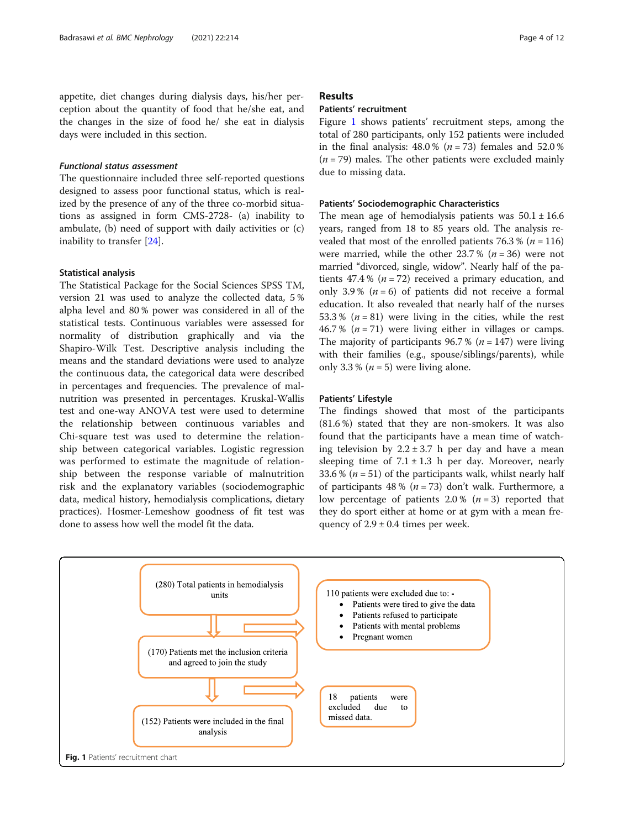appetite, diet changes during dialysis days, his/her perception about the quantity of food that he/she eat, and the changes in the size of food he/ she eat in dialysis days were included in this section.

# Functional status assessment

The questionnaire included three self-reported questions designed to assess poor functional status, which is realized by the presence of any of the three co-morbid situations as assigned in form CMS-2728- (a) inability to ambulate, (b) need of support with daily activities or (c) inability to transfer [\[24\]](#page-11-0).

#### Statistical analysis

The Statistical Package for the Social Sciences SPSS TM, version 21 was used to analyze the collected data, 5 % alpha level and 80 % power was considered in all of the statistical tests. Continuous variables were assessed for normality of distribution graphically and via the Shapiro-Wilk Test. Descriptive analysis including the means and the standard deviations were used to analyze the continuous data, the categorical data were described in percentages and frequencies. The prevalence of malnutrition was presented in percentages. Kruskal-Wallis test and one-way ANOVA test were used to determine the relationship between continuous variables and Chi-square test was used to determine the relationship between categorical variables. Logistic regression was performed to estimate the magnitude of relationship between the response variable of malnutrition risk and the explanatory variables (sociodemographic data, medical history, hemodialysis complications, dietary practices). Hosmer-Lemeshow goodness of fit test was done to assess how well the model fit the data.

# Results

# Patients' recruitment

Figure 1 shows patients' recruitment steps, among the total of 280 participants, only 152 patients were included in the final analysis:  $48.0\%$  ( $n = 73$ ) females and  $52.0\%$  $(n = 79)$  males. The other patients were excluded mainly due to missing data.

#### Patients' Sociodemographic Characteristics

The mean age of hemodialysis patients was  $50.1 \pm 16.6$ years, ranged from 18 to 85 years old. The analysis revealed that most of the enrolled patients  $76.3\%$  ( $n = 116$ ) were married, while the other  $23.7\%$  ( $n = 36$ ) were not married "divorced, single, widow". Nearly half of the patients 47.4 % ( $n = 72$ ) received a primary education, and only 3.9% ( $n = 6$ ) of patients did not receive a formal education. It also revealed that nearly half of the nurses 53.3 %  $(n = 81)$  were living in the cities, while the rest 46.7 % ( $n = 71$ ) were living either in villages or camps. The majority of participants 96.7 % ( $n = 147$ ) were living with their families (e.g., spouse/siblings/parents), while only 3.3 % ( $n = 5$ ) were living alone.

#### Patients' Lifestyle

The findings showed that most of the participants (81.6 %) stated that they are non-smokers. It was also found that the participants have a mean time of watching television by  $2.2 \pm 3.7$  h per day and have a mean sleeping time of  $7.1 \pm 1.3$  h per day. Moreover, nearly 33.6 % ( $n = 51$ ) of the participants walk, whilst nearly half of participants 48 % ( $n = 73$ ) don't walk. Furthermore, a low percentage of patients 2.0 % ( $n = 3$ ) reported that they do sport either at home or at gym with a mean frequency of  $2.9 \pm 0.4$  times per week.

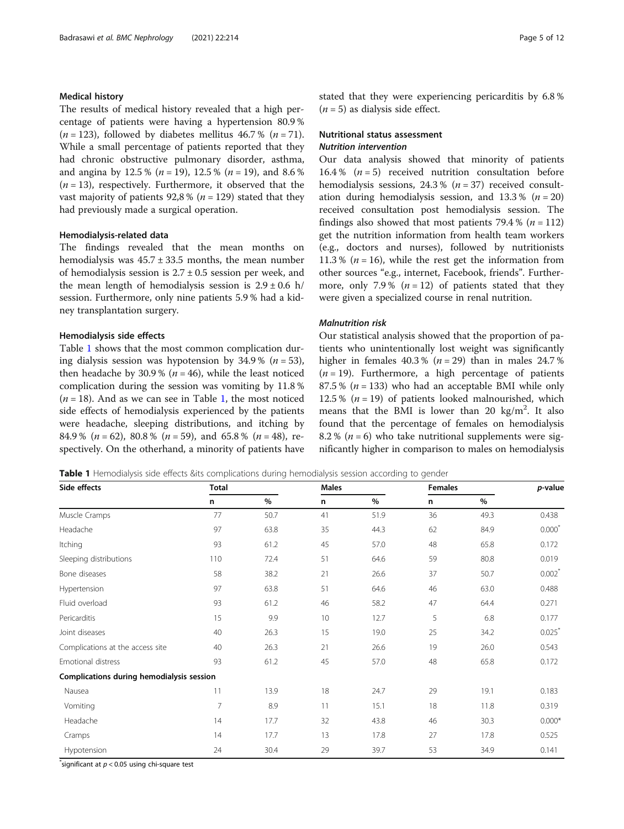# Medical history

The results of medical history revealed that a high percentage of patients were having a hypertension 80.9 %  $(n = 123)$ , followed by diabetes mellitus 46.7 %  $(n = 71)$ . While a small percentage of patients reported that they had chronic obstructive pulmonary disorder, asthma, and angina by 12.5 % ( $n = 19$ ), 12.5 % ( $n = 19$ ), and 8.6 %  $(n = 13)$ , respectively. Furthermore, it observed that the vast majority of patients  $92,8\%$  ( $n = 129$ ) stated that they had previously made a surgical operation.

# Hemodialysis-related data

The findings revealed that the mean months on hemodialysis was  $45.7 \pm 33.5$  months, the mean number of hemodialysis session is  $2.7 \pm 0.5$  session per week, and the mean length of hemodialysis session is  $2.9 \pm 0.6$  h/ session. Furthermore, only nine patients 5.9 % had a kidney transplantation surgery.

#### Hemodialysis side effects

Table 1 shows that the most common complication during dialysis session was hypotension by 34.9 % ( $n = 53$ ), then headache by 30.9 % ( $n = 46$ ), while the least noticed complication during the session was vomiting by 11.8 %  $(n = 18)$ . And as we can see in Table 1, the most noticed side effects of hemodialysis experienced by the patients were headache, sleeping distributions, and itching by 84.9 % ( $n = 62$ ), 80.8 % ( $n = 59$ ), and 65.8 % ( $n = 48$ ), respectively. On the otherhand, a minority of patients have stated that they were experiencing pericarditis by 6.8 %  $(n = 5)$  as dialysis side effect.

# Nutritional status assessment

# Nutrition intervention

Our data analysis showed that minority of patients 16.4 %  $(n = 5)$  received nutrition consultation before hemodialysis sessions,  $24.3\%$  ( $n = 37$ ) received consultation during hemodialysis session, and  $13.3\%$  ( $n = 20$ ) received consultation post hemodialysis session. The findings also showed that most patients 79.4 % ( $n = 112$ ) get the nutrition information from health team workers (e.g., doctors and nurses), followed by nutritionists 11.3 % ( $n = 16$ ), while the rest get the information from other sources "e.g., internet, Facebook, friends". Furthermore, only 7.9%  $(n = 12)$  of patients stated that they were given a specialized course in renal nutrition.

#### Malnutrition risk

Our statistical analysis showed that the proportion of patients who unintentionally lost weight was significantly higher in females  $40.3\%$  ( $n = 29$ ) than in males 24.7%  $(n = 19)$ . Furthermore, a high percentage of patients 87.5 % ( $n = 133$ ) who had an acceptable BMI while only 12.5 % ( $n = 19$ ) of patients looked malnourished, which means that the BMI is lower than 20  $\text{kg/m}^2$ . It also found that the percentage of females on hemodialysis 8.2 % ( $n = 6$ ) who take nutritional supplements were significantly higher in comparison to males on hemodialysis

Table 1 Hemodialysis side effects &its complications during hemodialysis session according to gender

| Side effects                              | <b>Total</b>   |      | <b>Males</b> |      | <b>Females</b> |      | p-value              |
|-------------------------------------------|----------------|------|--------------|------|----------------|------|----------------------|
|                                           | n              | $\%$ | n            | %    | n              | %    |                      |
| Muscle Cramps                             | 77             | 50.7 | 41           | 51.9 | 36             | 49.3 | 0.438                |
| Headache                                  | 97             | 63.8 | 35           | 44.3 | 62             | 84.9 | $0.000*$             |
| Itching                                   | 93             | 61.2 | 45           | 57.0 | 48             | 65.8 | 0.172                |
| Sleeping distributions                    | 110            | 72.4 | 51           | 64.6 | 59             | 80.8 | 0.019                |
| Bone diseases                             | 58             | 38.2 | 21           | 26.6 | 37             | 50.7 | $0.002$ <sup>*</sup> |
| Hypertension                              | 97             | 63.8 | 51           | 64.6 | 46             | 63.0 | 0.488                |
| Fluid overload                            | 93             | 61.2 | 46           | 58.2 | 47             | 64.4 | 0.271                |
| Pericarditis                              | 15             | 9.9  | 10           | 12.7 | 5              | 6.8  | 0.177                |
| Joint diseases                            | 40             | 26.3 | 15           | 19.0 | 25             | 34.2 | 0.025                |
| Complications at the access site          | 40             | 26.3 | 21           | 26.6 | 19             | 26.0 | 0.543                |
| <b>Emotional distress</b>                 | 93             | 61.2 | 45           | 57.0 | 48             | 65.8 | 0.172                |
| Complications during hemodialysis session |                |      |              |      |                |      |                      |
| Nausea                                    | 11             | 13.9 | 18           | 24.7 | 29             | 19.1 | 0.183                |
| Vomiting                                  | $\overline{7}$ | 8.9  | 11           | 15.1 | 18             | 11.8 | 0.319                |
| Headache                                  | 14             | 17.7 | 32           | 43.8 | 46             | 30.3 | $0.000*$             |
| Cramps                                    | 14             | 17.7 | 13           | 17.8 | 27             | 17.8 | 0.525                |
| Hypotension                               | 24             | 30.4 | 29           | 39.7 | 53             | 34.9 | 0.141                |

 $\check{ }$ significant at  $p < 0.05$  using chi-square test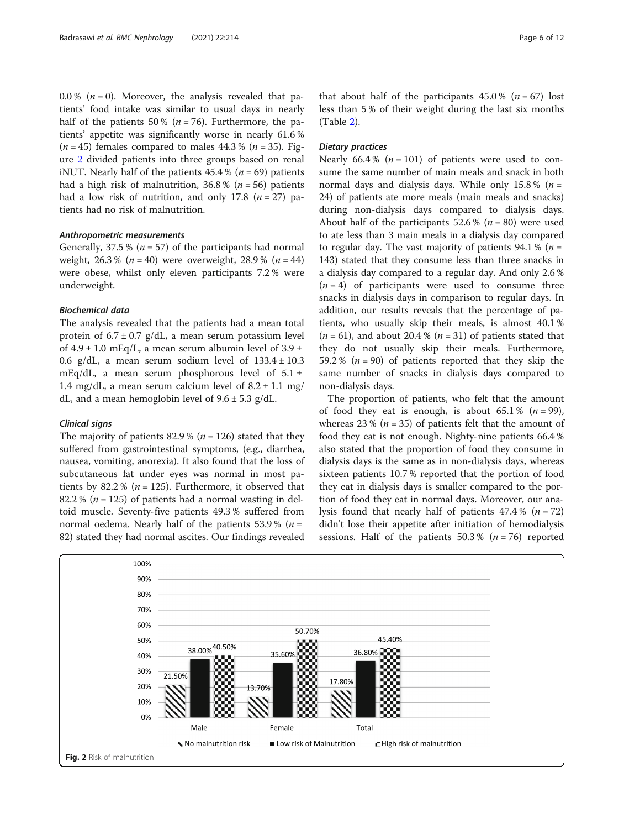0.0 % ( $n = 0$ ). Moreover, the analysis revealed that patients' food intake was similar to usual days in nearly half of the patients 50 % ( $n = 76$ ). Furthermore, the patients' appetite was significantly worse in nearly 61.6 %  $(n = 45)$  females compared to males 44.3 %  $(n = 35)$ . Figure 2 divided patients into three groups based on renal iNUT. Nearly half of the patients  $45.4\%$  ( $n = 69$ ) patients had a high risk of malnutrition,  $36.8\%$  ( $n = 56$ ) patients had a low risk of nutrition, and only 17.8 ( $n = 27$ ) patients had no risk of malnutrition.

#### Anthropometric measurements

Generally, 37.5 % ( $n = 57$ ) of the participants had normal weight,  $26.3\%$  ( $n = 40$ ) were overweight,  $28.9\%$  ( $n = 44$ ) were obese, whilst only eleven participants 7.2 % were underweight.

# Biochemical data

The analysis revealed that the patients had a mean total protein of  $6.7 \pm 0.7$  g/dL, a mean serum potassium level of  $4.9 \pm 1.0$  mEq/L, a mean serum albumin level of  $3.9 \pm$ 0.6 g/dL, a mean serum sodium level of  $133.4 \pm 10.3$ mEq/dL, a mean serum phosphorous level of  $5.1 \pm$ 1.4 mg/dL, a mean serum calcium level of  $8.2 \pm 1.1$  mg/ dL, and a mean hemoglobin level of  $9.6 \pm 5.3$  g/dL.

#### Clinical signs

The majority of patients 82.9 % ( $n = 126$ ) stated that they suffered from gastrointestinal symptoms, (e.g., diarrhea, nausea, vomiting, anorexia). It also found that the loss of subcutaneous fat under eyes was normal in most patients by 82.2 % ( $n = 125$ ). Furthermore, it observed that 82.2 % ( $n = 125$ ) of patients had a normal wasting in deltoid muscle. Seventy-five patients 49.3 % suffered from normal oedema. Nearly half of the patients 53.9 % ( $n =$ 82) stated they had normal ascites. Our findings revealed

that about half of the participants  $45.0\%$  ( $n = 67$ ) lost less than 5 % of their weight during the last six months (Table [2\)](#page-6-0).

# Dietary practices

Nearly 66.4% ( $n = 101$ ) of patients were used to consume the same number of main meals and snack in both normal days and dialysis days. While only 15.8%  $(n =$ 24) of patients ate more meals (main meals and snacks) during non-dialysis days compared to dialysis days. About half of the participants 52.6 % ( $n = 80$ ) were used to ate less than 3 main meals in a dialysis day compared to regular day. The vast majority of patients 94.1 % ( $n =$ 143) stated that they consume less than three snacks in a dialysis day compared to a regular day. And only 2.6 %  $(n = 4)$  of participants were used to consume three snacks in dialysis days in comparison to regular days. In addition, our results reveals that the percentage of patients, who usually skip their meals, is almost 40.1 %  $(n = 61)$ , and about 20.4 %  $(n = 31)$  of patients stated that they do not usually skip their meals. Furthermore, 59.2 % ( $n = 90$ ) of patients reported that they skip the same number of snacks in dialysis days compared to non-dialysis days.

The proportion of patients, who felt that the amount of food they eat is enough, is about 65.1%  $(n = 99)$ , whereas 23 % ( $n = 35$ ) of patients felt that the amount of food they eat is not enough. Nighty-nine patients 66.4 % also stated that the proportion of food they consume in dialysis days is the same as in non-dialysis days, whereas sixteen patients 10.7 % reported that the portion of food they eat in dialysis days is smaller compared to the portion of food they eat in normal days. Moreover, our analysis found that nearly half of patients  $47.4\%$  ( $n = 72$ ) didn't lose their appetite after initiation of hemodialysis sessions. Half of the patients  $50.3 %$   $(n = 76)$  reported

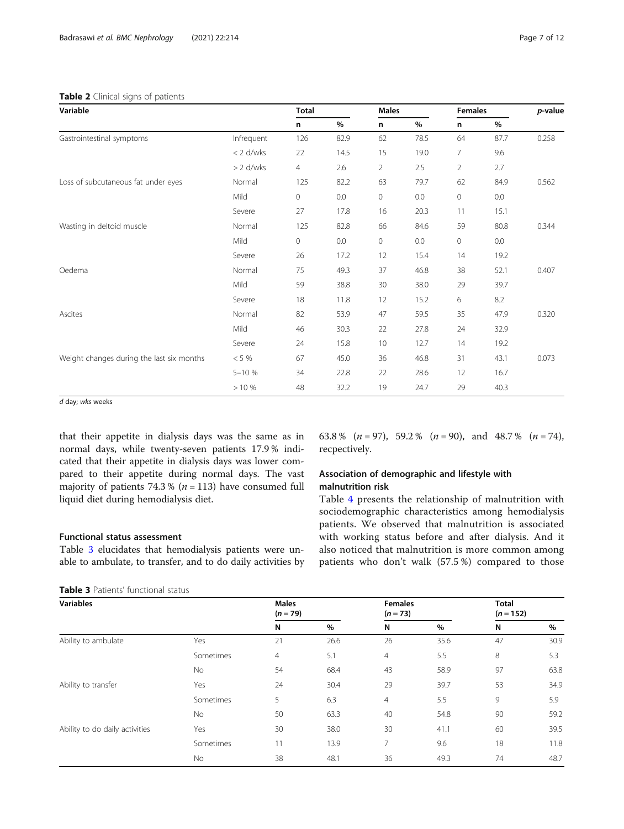## <span id="page-6-0"></span>Table 2 Clinical signs of patients

|                                           |             | n              | %    | n  | $\%$ | n  | %    |       |
|-------------------------------------------|-------------|----------------|------|----|------|----|------|-------|
| Gastrointestinal symptoms                 | Infrequent  | 126            | 82.9 | 62 | 78.5 | 64 | 87.7 | 0.258 |
|                                           | $< 2$ d/wks | 22             | 14.5 | 15 | 19.0 | 7  | 9.6  |       |
|                                           | $> 2$ d/wks | $\overline{4}$ | 2.6  | 2  | 2.5  | 2  | 2.7  |       |
| Loss of subcutaneous fat under eyes       | Normal      | 125            | 82.2 | 63 | 79.7 | 62 | 84.9 | 0.562 |
|                                           | Mild        | $\mathbf 0$    | 0.0  | 0  | 0.0  | 0  | 0.0  |       |
|                                           | Severe      | 27             | 17.8 | 16 | 20.3 | 11 | 15.1 |       |
| Wasting in deltoid muscle                 | Normal      | 125            | 82.8 | 66 | 84.6 | 59 | 80.8 | 0.344 |
|                                           | Mild        | 0              | 0.0  | 0  | 0.0  | 0  | 0.0  |       |
|                                           | Severe      | 26             | 17.2 | 12 | 15.4 | 14 | 19.2 |       |
| Oedema                                    | Normal      | 75             | 49.3 | 37 | 46.8 | 38 | 52.1 | 0.407 |
|                                           | Mild        | 59             | 38.8 | 30 | 38.0 | 29 | 39.7 |       |
|                                           | Severe      | 18             | 11.8 | 12 | 15.2 | 6  | 8.2  |       |
| Ascites                                   | Normal      | 82             | 53.9 | 47 | 59.5 | 35 | 47.9 | 0.320 |
|                                           | Mild        | 46             | 30.3 | 22 | 27.8 | 24 | 32.9 |       |
|                                           | Severe      | 24             | 15.8 | 10 | 12.7 | 14 | 19.2 |       |
| Weight changes during the last six months | $< 5 \%$    | 67             | 45.0 | 36 | 46.8 | 31 | 43.1 | 0.073 |
|                                           | $5 - 10%$   | 34             | 22.8 | 22 | 28.6 | 12 | 16.7 |       |

Variable Total Males Females p-value

d day; wks weeks

that their appetite in dialysis days was the same as in normal days, while twenty-seven patients 17.9 % indicated that their appetite in dialysis days was lower compared to their appetite during normal days. The vast majority of patients 74.3 % ( $n = 113$ ) have consumed full liquid diet during hemodialysis diet.

# Functional status assessment

Table 3 elucidates that hemodialysis patients were unable to ambulate, to transfer, and to do daily activities by

| <b>Table 3</b> Patients' functional status |  |
|--------------------------------------------|--|
|--------------------------------------------|--|

63.8 %  $(n = 97)$ , 59.2 %  $(n = 90)$ , and 48.7 %  $(n = 74)$ , recpectively.

# Association of demographic and lifestyle with malnutrition risk

> 10 % 48 32.2 19 24.7 29 40.3

Table [4](#page-7-0) presents the relationship of malnutrition with sociodemographic characteristics among hemodialysis patients. We observed that malnutrition is associated with working status before and after dialysis. And it also noticed that malnutrition is more common among patients who don't walk (57.5 %) compared to those

| <b>Variables</b>               |           | <b>Males</b><br>$(n = 79)$ |      | <b>Females</b><br>$(n=73)$ |      | <b>Total</b><br>$(n = 152)$ |      |
|--------------------------------|-----------|----------------------------|------|----------------------------|------|-----------------------------|------|
|                                |           | N                          | %    | N                          | $\%$ | N                           | %    |
| Ability to ambulate            | Yes       | 21                         | 26.6 | 26                         | 35.6 | 47                          | 30.9 |
|                                | Sometimes | 4                          | 5.1  | $\overline{4}$             | 5.5  | 8                           | 5.3  |
|                                | No        | 54                         | 68.4 | 43                         | 58.9 | 97                          | 63.8 |
| Ability to transfer            | Yes       | 24                         | 30.4 | 29                         | 39.7 | 53                          | 34.9 |
|                                | Sometimes | 5                          | 6.3  | 4                          | 5.5  | 9                           | 5.9  |
|                                | No        | 50                         | 63.3 | 40                         | 54.8 | 90                          | 59.2 |
| Ability to do daily activities | Yes       | 30                         | 38.0 | 30                         | 41.1 | 60                          | 39.5 |
|                                | Sometimes | 11                         | 13.9 | 7                          | 9.6  | 18                          | 11.8 |
|                                | No        | 38                         | 48.1 | 36                         | 49.3 | 74                          | 48.7 |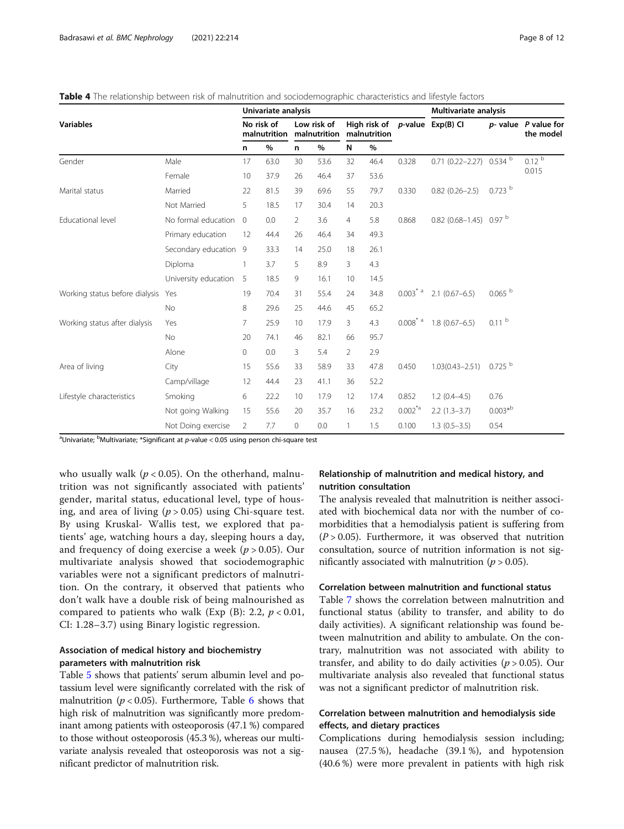|                                | Univariate analysis   |                            |      |                |                             |                |                              | Multivariate analysis    |                                               |                    |                                        |
|--------------------------------|-----------------------|----------------------------|------|----------------|-----------------------------|----------------|------------------------------|--------------------------|-----------------------------------------------|--------------------|----------------------------------------|
| <b>Variables</b>               |                       | No risk of<br>malnutrition |      |                | Low risk of<br>malnutrition |                | High risk of<br>malnutrition |                          | $p$ -value $Exp(B)$ Cl                        |                    | $p$ - value $P$ value for<br>the model |
|                                |                       | n                          | $\%$ | n.             | $\%$                        | N              | $\%$                         |                          |                                               |                    |                                        |
| Gender                         | Male                  | 17                         | 63.0 | 30             | 53.6                        | 32             | 46.4                         | 0.328                    | 0.71 (0.22-2.27) 0.534 b                      |                    | 0.12 <sup>b</sup>                      |
|                                | Female                | 10                         | 37.9 | 26             | 46.4                        | 37             | 53.6                         |                          |                                               |                    | 0.015                                  |
| Marital status                 | Married               | 22                         | 81.5 | 39             | 69.6                        | 55             | 79.7                         | 0.330                    | $0.82(0.26 - 2.5)$                            | $0.723$ b          |                                        |
|                                | Not Married           | 5                          | 18.5 | 17             | 30.4                        | 14             | 20.3                         |                          |                                               |                    |                                        |
| Educational level              | No formal education   | $\overline{0}$             | 0.0  | $\overline{2}$ | 3.6                         | 4              | 5.8                          | 0.868                    | $0.82$ (0.68-1.45) 0.97 <sup>b</sup>          |                    |                                        |
|                                | Primary education     | 12                         | 44.4 | 26             | 46.4                        | 34             | 49.3                         |                          |                                               |                    |                                        |
|                                | Secondary education 9 |                            | 33.3 | 14             | 25.0                        | 18             | 26.1                         |                          |                                               |                    |                                        |
|                                | Diploma               | 1                          | 3.7  | 5              | 8.9                         | 3              | 4.3                          |                          |                                               |                    |                                        |
|                                | University education  | 5                          | 18.5 | 9              | 16.1                        | 10             | 14.5                         |                          |                                               |                    |                                        |
| Working status before dialysis | Yes                   | 19                         | 70.4 | 31             | 55.4                        | 24             | 34.8                         |                          | $0.003^{\dagger}$ <sup>a</sup> 2.1 (0.67–6.5) | $0.065$ $^{\rm b}$ |                                        |
|                                | <b>No</b>             | 8                          | 29.6 | 25             | 44.6                        | 45             | 65.2                         |                          |                                               |                    |                                        |
| Working status after dialysis  | Yes                   | $\overline{7}$             | 25.9 | 10             | 17.9                        | 3              | 4.3                          | $0.008^{*}$ <sup>a</sup> | $1.8(0.67 - 6.5)$                             | 0.11 <sup>b</sup>  |                                        |
|                                | <b>No</b>             | 20                         | 74.1 | 46             | 82.1                        | 66             | 95.7                         |                          |                                               |                    |                                        |
|                                | Alone                 | $\circ$                    | 0.0  | 3              | 5.4                         | $\overline{2}$ | 2.9                          |                          |                                               |                    |                                        |
| Area of living                 | City                  | 15                         | 55.6 | 33             | 58.9                        | 33             | 47.8                         | 0.450                    | $1.03(0.43 - 2.51)$                           | 0.725              |                                        |
|                                | Camp/village          | 12                         | 44.4 | 23             | 41.1                        | 36             | 52.2                         |                          |                                               |                    |                                        |
| Lifestyle characteristics      | Smoking               | 6                          | 22.2 | 10             | 17.9                        | 12             | 17.4                         | 0.852                    | $1.2(0.4-4.5)$                                | 0.76               |                                        |
|                                | Not going Walking     | 15                         | 55.6 | 20             | 35.7                        | 16             | 23.2                         | $0.002^{4}$              | $2.2(1.3-3.7)$                                | $0.003*^{b}$       |                                        |
|                                | Not Doing exercise    | 2                          | 7.7  | 0              | 0.0                         |                | 1.5                          | 0.100                    | $1.3(0.5-3.5)$                                | 0.54               |                                        |

<span id="page-7-0"></span>Table 4 The relationship between risk of malnutrition and sociodemographic characteristics and lifestyle factors

<sup>a</sup>Univariate; <sup>b</sup>Multivariate; \*Significant at *p*-value < 0.05 using person chi-square test

who usually walk ( $p < 0.05$ ). On the otherhand, malnutrition was not significantly associated with patients' gender, marital status, educational level, type of housing, and area of living ( $p > 0.05$ ) using Chi-square test. By using Kruskal- Wallis test, we explored that patients' age, watching hours a day, sleeping hours a day, and frequency of doing exercise a week ( $p > 0.05$ ). Our multivariate analysis showed that sociodemographic variables were not a significant predictors of malnutrition. On the contrary, it observed that patients who don't walk have a double risk of being malnourished as compared to patients who walk (Exp  $(B)$ : 2.2,  $p < 0.01$ , CI: 1.28–3.7) using Binary logistic regression.

# Association of medical history and biochemistry parameters with malnutrition risk

Table [5](#page-8-0) shows that patients' serum albumin level and potassium level were significantly correlated with the risk of malnutrition ( $p < 0.05$ ). Furthermore, Table [6](#page-8-0) shows that high risk of malnutrition was significantly more predominant among patients with osteoporosis (47.1 %) compared to those without osteoporosis (45.3 %), whereas our multivariate analysis revealed that osteoporosis was not a significant predictor of malnutrition risk.

# Relationship of malnutrition and medical history, and nutrition consultation

The analysis revealed that malnutrition is neither associated with biochemical data nor with the number of comorbidities that a hemodialysis patient is suffering from  $(P > 0.05)$ . Furthermore, it was observed that nutrition consultation, source of nutrition information is not significantly associated with malnutrition ( $p > 0.05$ ).

# Correlation between malnutrition and functional status

Table [7](#page-9-0) shows the correlation between malnutrition and functional status (ability to transfer, and ability to do daily activities). A significant relationship was found between malnutrition and ability to ambulate. On the contrary, malnutrition was not associated with ability to transfer, and ability to do daily activities ( $p > 0.05$ ). Our multivariate analysis also revealed that functional status was not a significant predictor of malnutrition risk.

# Correlation between malnutrition and hemodialysis side effects, and dietary practices

Complications during hemodialysis session including; nausea (27.5 %), headache (39.1 %), and hypotension (40.6 %) were more prevalent in patients with high risk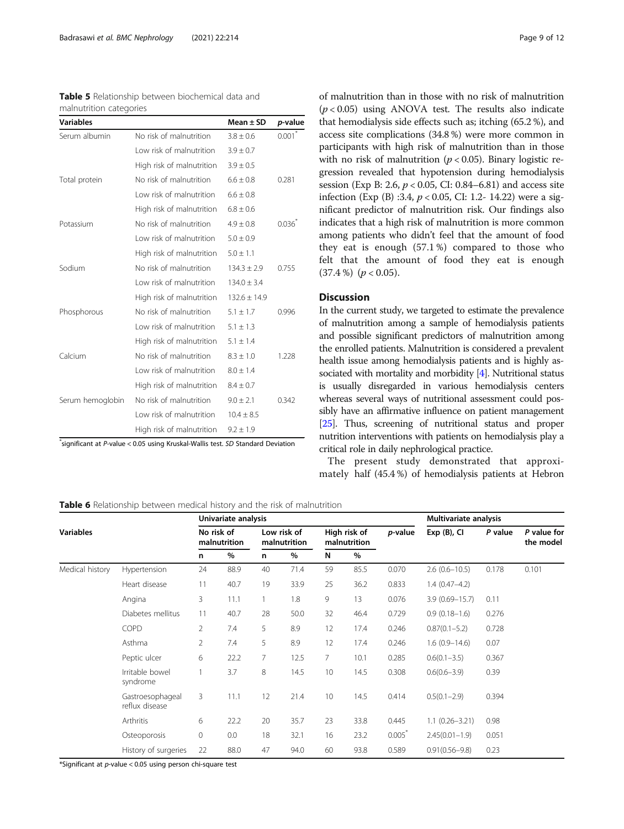<span id="page-8-0"></span>

| <b>Table 5</b> Relationship between biochemical data and |  |  |
|----------------------------------------------------------|--|--|
| malnutrition categories                                  |  |  |

| <b>Variables</b> |                           | Mean $\pm$ SD    | p-value |
|------------------|---------------------------|------------------|---------|
| Serum albumin    | No risk of malnutrition   | $3.8 \pm 0.6$    | 0.001   |
|                  | Low risk of malnutrition  | $3.9 \pm 0.7$    |         |
|                  | High risk of malnutrition | $3.9 \pm 0.5$    |         |
| Total protein    | No risk of malnutrition   | $6.6 \pm 0.8$    | 0.281   |
|                  | Low risk of malnutrition  | $6.6 \pm 0.8$    |         |
|                  | High risk of malnutrition | $6.8 \pm 0.6$    |         |
| Potassium        | No risk of malnutrition   | $4.9 \pm 0.8$    | 0.036   |
|                  | Low risk of malnutrition  | $5.0 \pm 0.9$    |         |
|                  | High risk of malnutrition | $5.0 \pm 1.1$    |         |
| Sodium           | No risk of malnutrition   | $134.3 \pm 2.9$  | 0.755   |
|                  | Low risk of malnutrition  | $134.0 \pm 3.4$  |         |
|                  | High risk of malnutrition | $132.6 \pm 14.9$ |         |
| Phosphorous      | No risk of malnutrition   | $5.1 \pm 1.7$    | 0.996   |
|                  | Low risk of malnutrition  | $5.1 \pm 1.3$    |         |
|                  | High risk of malnutrition | $5.1 \pm 1.4$    |         |
| Calcium          | No risk of malnutrition   | $8.3 \pm 1.0$    | 1.228   |
|                  | Low risk of malnutrition  | $8.0 \pm 1.4$    |         |
|                  | High risk of malnutrition | $8.4 \pm 0.7$    |         |
| Serum hemoglobin | No risk of malnutrition   | $9.0 \pm 2.1$    | 0.342   |
|                  | Low risk of malnutrition  | $10.4 \pm 8.5$   |         |
|                  | High risk of malnutrition | $9.2 \pm 1.9$    |         |

\* significant at P-value < 0.05 using Kruskal-Wallis test. SD Standard Deviation

of malnutrition than in those with no risk of malnutrition  $(p < 0.05)$  using ANOVA test. The results also indicate that hemodialysis side effects such as; itching (65.2 %), and access site complications (34.8 %) were more common in participants with high risk of malnutrition than in those with no risk of malnutrition ( $p < 0.05$ ). Binary logistic regression revealed that hypotension during hemodialysis session (Exp B: 2.6,  $p < 0.05$ , CI: 0.84–6.81) and access site infection (Exp (B) :3.4,  $p < 0.05$ , CI: 1.2- 14.22) were a significant predictor of malnutrition risk. Our findings also indicates that a high risk of malnutrition is more common among patients who didn't feel that the amount of food they eat is enough (57.1 %) compared to those who felt that the amount of food they eat is enough  $(37.4\%)$   $(p < 0.05)$ .

# Discussion

In the current study, we targeted to estimate the prevalence of malnutrition among a sample of hemodialysis patients and possible significant predictors of malnutrition among the enrolled patients. Malnutrition is considered a prevalent health issue among hemodialysis patients and is highly associated with mortality and morbidity [[4](#page-10-0)]. Nutritional status is usually disregarded in various hemodialysis centers whereas several ways of nutritional assessment could possibly have an affirmative influence on patient management [[25](#page-11-0)]. Thus, screening of nutritional status and proper nutrition interventions with patients on hemodialysis play a critical role in daily nephrological practice.

The present study demonstrated that approximately half (45.4 %) of hemodialysis patients at Hebron

Table 6 Relationship between medical history and the risk of malnutrition

|                  |                                    | Univariate analysis |                            |    |                             |    |                              |         | Multivariate analysis |         |                          |
|------------------|------------------------------------|---------------------|----------------------------|----|-----------------------------|----|------------------------------|---------|-----------------------|---------|--------------------------|
| <b>Variables</b> |                                    |                     | No risk of<br>malnutrition |    | Low risk of<br>malnutrition |    | High risk of<br>malnutrition | p-value | $Exp(B)$ , CI         | P value | P value for<br>the model |
|                  |                                    | n                   | %                          | n  | $\%$                        | N  | %                            |         |                       |         |                          |
| Medical history  | Hypertension                       | 24                  | 88.9                       | 40 | 71.4                        | 59 | 85.5                         | 0.070   | $2.6(0.6 - 10.5)$     | 0.178   | 0.101                    |
|                  | Heart disease                      | 11                  | 40.7                       | 19 | 33.9                        | 25 | 36.2                         | 0.833   | $1.4(0.47 - 4.2)$     |         |                          |
|                  | Angina                             | 3                   | 11.1                       |    | 1.8                         | 9  | 13                           | 0.076   | $3.9(0.69 - 15.7)$    | 0.11    |                          |
|                  | Diabetes mellitus                  | 11                  | 40.7                       | 28 | 50.0                        | 32 | 46.4                         | 0.729   | $0.9(0.18-1.6)$       | 0.276   |                          |
|                  | COPD                               | $\overline{2}$      | 7.4                        | 5  | 8.9                         | 12 | 17.4                         | 0.246   | $0.87(0.1 - 5.2)$     | 0.728   |                          |
|                  | Asthma                             | 2                   | 7.4                        | 5  | 8.9                         | 12 | 17.4                         | 0.246   | $1.6(0.9 - 14.6)$     | 0.07    |                          |
|                  | Peptic ulcer                       | 6                   | 22.2                       | 7  | 12.5                        | 7  | 10.1                         | 0.285   | $0.6(0.1 - 3.5)$      | 0.367   |                          |
|                  | Irritable bowel<br>syndrome        |                     | 3.7                        | 8  | 14.5                        | 10 | 14.5                         | 0.308   | $0.6(0.6 - 3.9)$      | 0.39    |                          |
|                  | Gastroesophageal<br>reflux disease | 3                   | 11.1                       | 12 | 21.4                        | 10 | 14.5                         | 0.414   | $0.5(0.1 - 2.9)$      | 0.394   |                          |
|                  | Arthritis                          | 6                   | 22.2                       | 20 | 35.7                        | 23 | 33.8                         | 0.445   | $1.1(0.26 - 3.21)$    | 0.98    |                          |
|                  | Osteoporosis                       | 0                   | 0.0                        | 18 | 32.1                        | 16 | 23.2                         | 0.005   | $2.45(0.01 - 1.9)$    | 0.051   |                          |
|                  | History of surgeries               | 22                  | 88.0                       | 47 | 94.0                        | 60 | 93.8                         | 0.589   | $0.91(0.56 - 9.8)$    | 0.23    |                          |

\*Significant at p-value < 0.05 using person chi-square test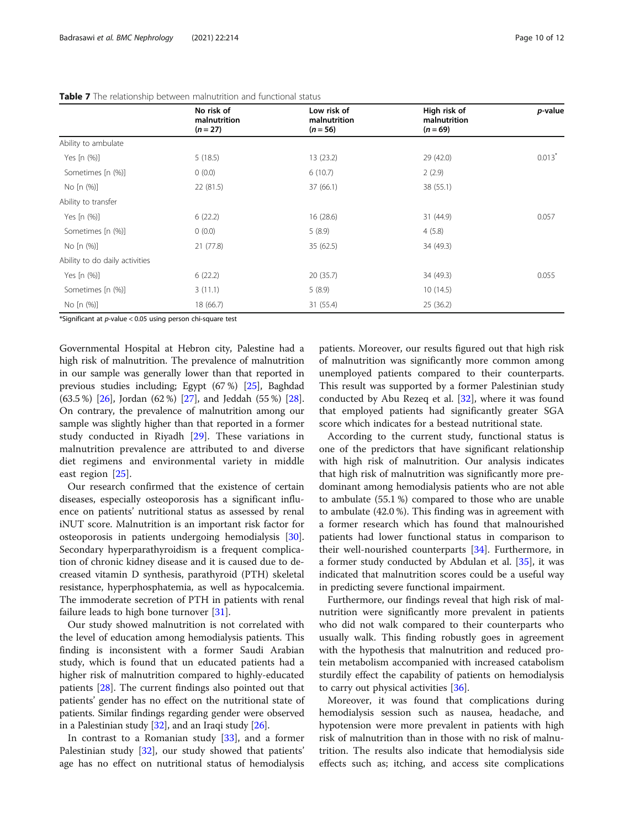|                                | No risk of<br>malnutrition | Low risk of<br>malnutrition | High risk of<br>malnutrition | p-value              |
|--------------------------------|----------------------------|-----------------------------|------------------------------|----------------------|
|                                | $(n = 27)$                 | $(n = 56)$                  | $(n = 69)$                   |                      |
| Ability to ambulate            |                            |                             |                              |                      |
| Yes [n (%)]                    | 5(18.5)                    | 13(23.2)                    | 29 (42.0)                    | $0.013$ <sup>*</sup> |
| Sometimes [n (%)]              | 0(0.0)                     | 6(10.7)                     | 2(2.9)                       |                      |
| No [n (%)]                     | 22 (81.5)                  | 37 (66.1)                   | 38 (55.1)                    |                      |
| Ability to transfer            |                            |                             |                              |                      |
| Yes [n (%)]                    | 6(22.2)                    | 16(28.6)                    | 31 (44.9)                    | 0.057                |
| Sometimes [n (%)]              | 0(0.0)                     | 5(8.9)                      | 4(5.8)                       |                      |
| No [n (%)]                     | 21(77.8)                   | 35(62.5)                    | 34 (49.3)                    |                      |
| Ability to do daily activities |                            |                             |                              |                      |
| Yes [n (%)]                    | 6(22.2)                    | 20(35.7)                    | 34 (49.3)                    | 0.055                |
| Sometimes [n (%)]              | 3(11.1)                    | 5(8.9)                      | 10(14.5)                     |                      |
| No [n (%)]                     | 18 (66.7)                  | 31 (55.4)                   | 25 (36.2)                    |                      |

<span id="page-9-0"></span>

|  |  |  |  | <b>Table 7</b> The relationship between malnutrition and functional status |  |  |  |
|--|--|--|--|----------------------------------------------------------------------------|--|--|--|
|--|--|--|--|----------------------------------------------------------------------------|--|--|--|

\*Significant at p-value < 0.05 using person chi-square test

Governmental Hospital at Hebron city, Palestine had a high risk of malnutrition. The prevalence of malnutrition in our sample was generally lower than that reported in previous studies including; Egypt (67 %) [[25](#page-11-0)], Baghdad (63.5 %) [\[26\]](#page-11-0), Jordan (62 %) [[27](#page-11-0)], and Jeddah (55 %) [[28](#page-11-0)]. On contrary, the prevalence of malnutrition among our sample was slightly higher than that reported in a former study conducted in Riyadh [[29\]](#page-11-0). These variations in malnutrition prevalence are attributed to and diverse diet regimens and environmental variety in middle east region [\[25](#page-11-0)].

Our research confirmed that the existence of certain diseases, especially osteoporosis has a significant influence on patients' nutritional status as assessed by renal iNUT score. Malnutrition is an important risk factor for osteoporosis in patients undergoing hemodialysis [\[30](#page-11-0)]. Secondary hyperparathyroidism is a frequent complication of chronic kidney disease and it is caused due to decreased vitamin D synthesis, parathyroid (PTH) skeletal resistance, hyperphosphatemia, as well as hypocalcemia. The immoderate secretion of PTH in patients with renal failure leads to high bone turnover [\[31\]](#page-11-0).

Our study showed malnutrition is not correlated with the level of education among hemodialysis patients. This finding is inconsistent with a former Saudi Arabian study, which is found that un educated patients had a higher risk of malnutrition compared to highly-educated patients [\[28](#page-11-0)]. The current findings also pointed out that patients' gender has no effect on the nutritional state of patients. Similar findings regarding gender were observed in a Palestinian study [\[32\]](#page-11-0), and an Iraqi study [[26](#page-11-0)].

In contrast to a Romanian study [[33\]](#page-11-0), and a former Palestinian study [\[32](#page-11-0)], our study showed that patients' age has no effect on nutritional status of hemodialysis

patients. Moreover, our results figured out that high risk of malnutrition was significantly more common among unemployed patients compared to their counterparts. This result was supported by a former Palestinian study conducted by Abu Rezeq et al. [[32\]](#page-11-0), where it was found that employed patients had significantly greater SGA score which indicates for a bestead nutritional state.

According to the current study, functional status is one of the predictors that have significant relationship with high risk of malnutrition. Our analysis indicates that high risk of malnutrition was significantly more predominant among hemodialysis patients who are not able to ambulate (55.1 %) compared to those who are unable to ambulate (42.0 %). This finding was in agreement with a former research which has found that malnourished patients had lower functional status in comparison to their well-nourished counterparts [[34](#page-11-0)]. Furthermore, in a former study conducted by Abdulan et al. [\[35](#page-11-0)], it was indicated that malnutrition scores could be a useful way in predicting severe functional impairment.

Furthermore, our findings reveal that high risk of malnutrition were significantly more prevalent in patients who did not walk compared to their counterparts who usually walk. This finding robustly goes in agreement with the hypothesis that malnutrition and reduced protein metabolism accompanied with increased catabolism sturdily effect the capability of patients on hemodialysis to carry out physical activities [\[36\]](#page-11-0).

Moreover, it was found that complications during hemodialysis session such as nausea, headache, and hypotension were more prevalent in patients with high risk of malnutrition than in those with no risk of malnutrition. The results also indicate that hemodialysis side effects such as; itching, and access site complications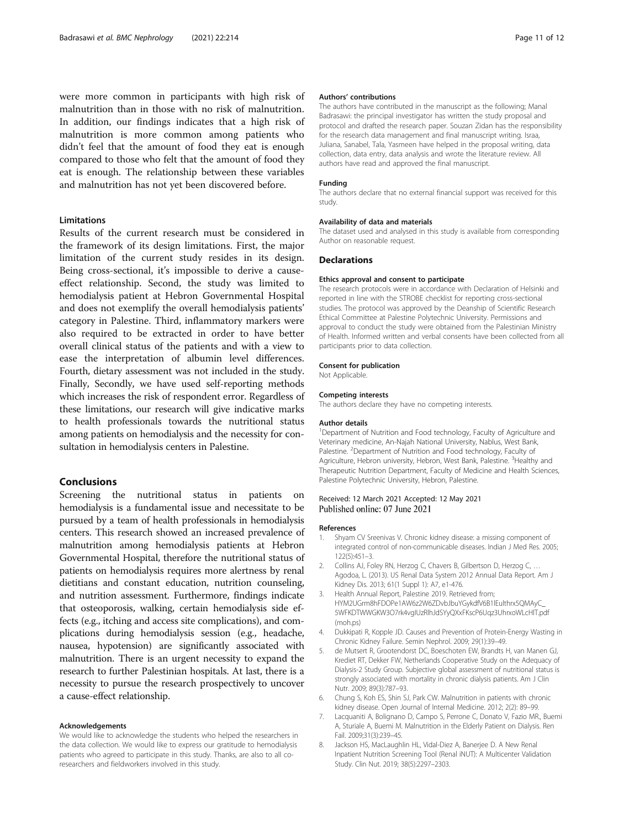<span id="page-10-0"></span>were more common in participants with high risk of malnutrition than in those with no risk of malnutrition. In addition, our findings indicates that a high risk of malnutrition is more common among patients who didn't feel that the amount of food they eat is enough compared to those who felt that the amount of food they eat is enough. The relationship between these variables and malnutrition has not yet been discovered before.

#### Limitations

Results of the current research must be considered in the framework of its design limitations. First, the major limitation of the current study resides in its design. Being cross-sectional, it's impossible to derive a causeeffect relationship. Second, the study was limited to hemodialysis patient at Hebron Governmental Hospital and does not exemplify the overall hemodialysis patients' category in Palestine. Third, inflammatory markers were also required to be extracted in order to have better overall clinical status of the patients and with a view to ease the interpretation of albumin level differences. Fourth, dietary assessment was not included in the study. Finally, Secondly, we have used self-reporting methods which increases the risk of respondent error. Regardless of these limitations, our research will give indicative marks to health professionals towards the nutritional status among patients on hemodialysis and the necessity for consultation in hemodialysis centers in Palestine.

# Conclusions

Screening the nutritional status in patients on hemodialysis is a fundamental issue and necessitate to be pursued by a team of health professionals in hemodialysis centers. This research showed an increased prevalence of malnutrition among hemodialysis patients at Hebron Governmental Hospital, therefore the nutritional status of patients on hemodialysis requires more alertness by renal dietitians and constant education, nutrition counseling, and nutrition assessment. Furthermore, findings indicate that osteoporosis, walking, certain hemodialysis side effects (e.g., itching and access site complications), and complications during hemodialysis session (e.g., headache, nausea, hypotension) are significantly associated with malnutrition. There is an urgent necessity to expand the research to further Palestinian hospitals. At last, there is a necessity to pursue the research prospectively to uncover a cause-effect relationship.

#### Acknowledgements

We would like to acknowledge the students who helped the researchers in the data collection. We would like to express our gratitude to hemodialysis patients who agreed to participate in this study. Thanks, are also to all coresearchers and fieldworkers involved in this study.

#### Authors' contributions

The authors have contributed in the manuscript as the following; Manal Badrasawi: the principal investigator has written the study proposal and protocol and drafted the research paper. Souzan Zidan has the responsibility for the research data management and final manuscript writing. Israa, Juliana, Sanabel, Tala, Yasmeen have helped in the proposal writing, data collection, data entry, data analysis and wrote the literature review. All authors have read and approved the final manuscript.

#### Funding

The authors declare that no external financial support was received for this study.

#### Availability of data and materials

The dataset used and analysed in this study is available from corresponding Author on reasonable request.

#### **Declarations**

#### Ethics approval and consent to participate

The research protocols were in accordance with Declaration of Helsinki and reported in line with the STROBE checklist for reporting cross-sectional studies. The protocol was approved by the Deanship of Scientific Research Ethical Committee at Palestine Polytechnic University. Permissions and approval to conduct the study were obtained from the Palestinian Ministry of Health. Informed written and verbal consents have been collected from all participants prior to data collection.

#### Consent for publication

Not Applicable.

#### Competing interests

The authors declare they have no competing interests.

#### Author details

<sup>1</sup>Department of Nutrition and Food technology, Faculty of Agriculture and Veterinary medicine, An-Najah National University, Nablus, West Bank, Palestine. <sup>2</sup>Department of Nutrition and Food technology, Faculty of Agriculture, Hebron university, Hebron, West Bank, Palestine. <sup>3</sup>Healthy and Therapeutic Nutrition Department, Faculty of Medicine and Health Sciences, Palestine Polytechnic University, Hebron, Palestine.

#### Received: 12 March 2021 Accepted: 12 May 2021 Published online: 07 June 2021

#### References

- 1. Shyam CV Sreenivas V. Chronic kidney disease: a missing component of integrated control of non-communicable diseases. Indian J Med Res. 2005; 122(5):451–3.
- 2. Collins AJ, Foley RN, Herzog C, Chavers B, Gilbertson D, Herzog C, … Agodoa, L. (2013). US Renal Data System 2012 Annual Data Report. Am J Kidney Dis. 2013; 61(1 Suppl 1): A7, e1-476.
- 3. Health Annual Report, Palestine 2019. Retrieved from; HYM2UGrm8hFDOPe1AW6z2W6ZDvbJbuYGykdfV6B1lEulthrx5QMAyC\_ 5WFKDTWWGKW3O7rk4vgIUzRlhJdSYyQXxFKscP6Uqz3UhrxoWLcHlT.pdf (moh.ps)
- 4. Dukkipati R, Kopple JD. Causes and Prevention of Protein-Energy Wasting in Chronic Kidney Failure. Semin Nephrol. 2009; 29(1):39–49.
- 5. de Mutsert R, Grootendorst DC, Boeschoten EW, Brandts H, van Manen GJ, Krediet RT, Dekker FW, Netherlands Cooperative Study on the Adequacy of Dialysis-2 Study Group. Subjective global assessment of nutritional status is strongly associated with mortality in chronic dialysis patients. Am J Clin Nutr. 2009; 89(3):787–93.
- 6. Chung S, Koh ES, Shin SJ, Park CW. Malnutrition in patients with chronic kidney disease. Open Journal of Internal Medicine. 2012; 2(2): 89–99.
- 7. Lacquaniti A, Bolignano D, Campo S, Perrone C, Donato V, Fazio MR., Buemi A, Sturiale A, Buemi M. Malnutrition in the Elderly Patient on Dialysis. Ren Fail. 2009;31(3):239–45.
- 8. Jackson HS, MacLaughlin HL, Vidal-Diez A, Banerjee D. A New Renal Inpatient Nutrition Screening Tool (Renal iNUT): A Multicenter Validation Study. Clin Nut. 2019; 38(5):2297–2303.